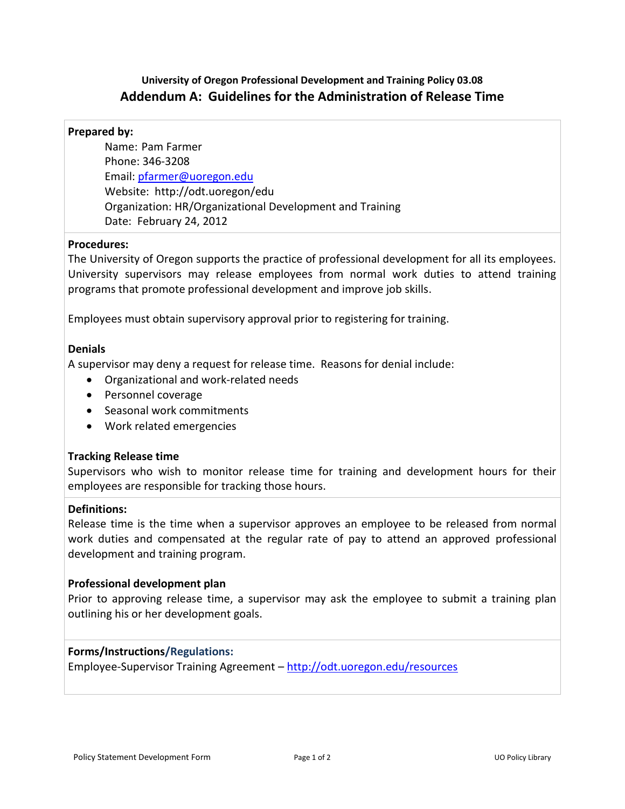# **University of Oregon Professional Development and Training Policy 03.08 Addendum A: Guidelines for the Administration of Release Time**

### **Prepared by:**

Name: Pam Farmer Phone: 346-3208 Email: [pfarmer@uoregon.edu](mailto:pfarmer@uoregon.edu) Website: http://odt.uoregon/edu Organization: HR/Organizational Development and Training Date: February 24, 2012

### **Procedures:**

The University of Oregon supports the practice of professional development for all its employees. University supervisors may release employees from normal work duties to attend training programs that promote professional development and improve job skills.

Employees must obtain supervisory approval prior to registering for training.

## **Denials**

A supervisor may deny a request for release time. Reasons for denial include:

- Organizational and work-related needs
- Personnel coverage
- Seasonal work commitments
- Work related emergencies

### **Tracking Release time**

Supervisors who wish to monitor release time for training and development hours for their employees are responsible for tracking those hours.

### **Definitions:**

Release time is the time when a supervisor approves an employee to be released from normal work duties and compensated at the regular rate of pay to attend an approved professional development and training program.

### **Professional development plan**

Prior to approving release time, a supervisor may ask the employee to submit a training plan outlining his or her development goals.

## **Forms/Instructions/Regulations:**

Employee-Supervisor Training Agreement – <http://odt.uoregon.edu/resources>